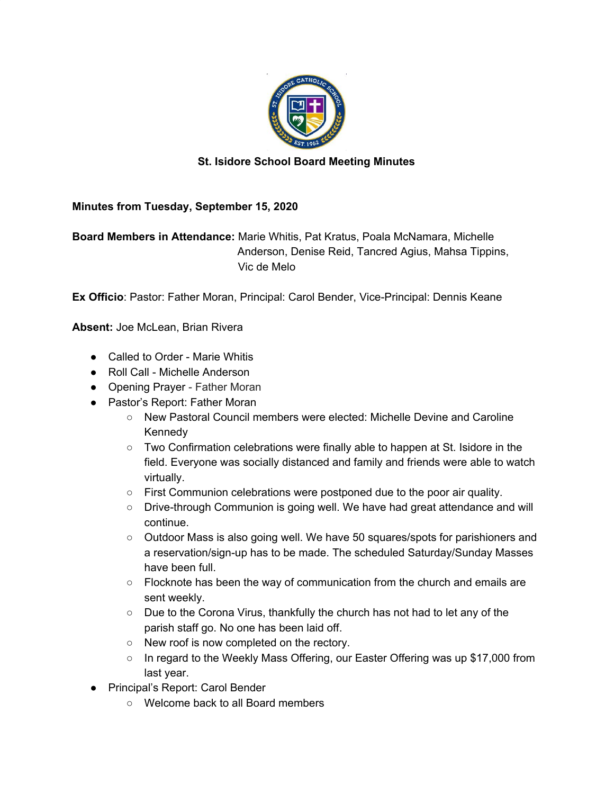

## **St. Isidore School Board Meeting Minutes**

## **Minutes from Tuesday, September 15, 2020**

**Board Members in Attendance:** Marie Whitis, Pat Kratus, Poala McNamara, Michelle Anderson, Denise Reid, Tancred Agius, Mahsa Tippins, Vic de Melo

**Ex Officio**: Pastor: Father Moran, Principal: Carol Bender, Vice-Principal: Dennis Keane

**Absent:** Joe McLean, Brian Rivera

- Called to Order Marie Whitis
- Roll Call Michelle Anderson
- Opening Prayer Father Moran
- Pastor's Report: Father Moran
	- New Pastoral Council members were elected: Michelle Devine and Caroline Kennedy
	- Two Confirmation celebrations were finally able to happen at St. Isidore in the field. Everyone was socially distanced and family and friends were able to watch virtually.
	- $\circ$  First Communion celebrations were postponed due to the poor air quality.
	- Drive-through Communion is going well. We have had great attendance and will continue.
	- Outdoor Mass is also going well. We have 50 squares/spots for parishioners and a reservation/sign-up has to be made. The scheduled Saturday/Sunday Masses have been full.
	- Flocknote has been the way of communication from the church and emails are sent weekly.
	- $\circ$  Due to the Corona Virus, thankfully the church has not had to let any of the parish staff go. No one has been laid off.
	- New roof is now completed on the rectory.
	- In regard to the Weekly Mass Offering, our Easter Offering was up \$17,000 from last year.
- Principal's Report: Carol Bender
	- Welcome back to all Board members